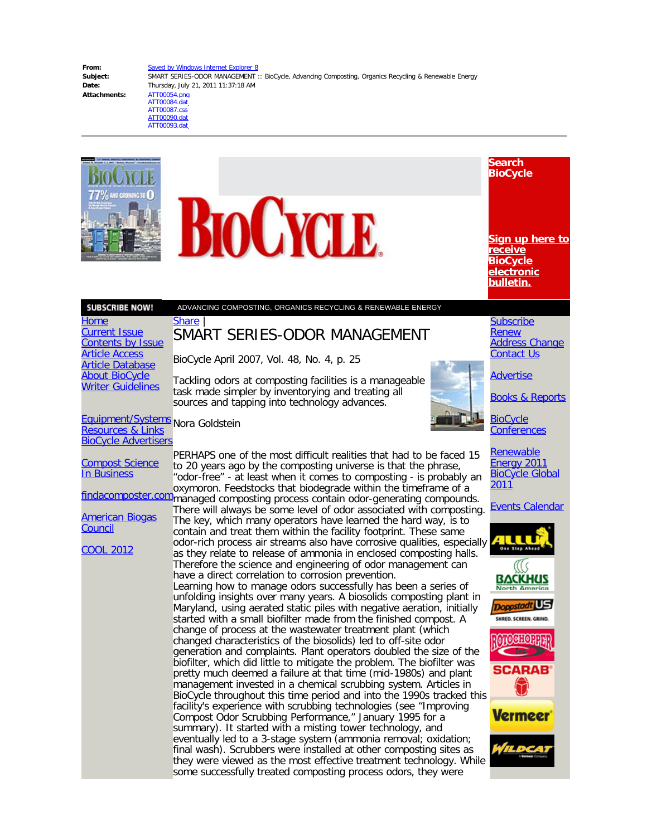**Attachments:** ATT00054.png

**From:** [Saved by Windows Internet Explorer 8](mailto:Saved by Windows Internet Explorer 8) Subject: SMART SERIES-ODOR MANAGEMENT :: BioCycle, Advancing Composting, Organics Recycling & Renewable Energy **Date:** Thursday, July 21, 2011 11:37:18 AM ATT00084.dat

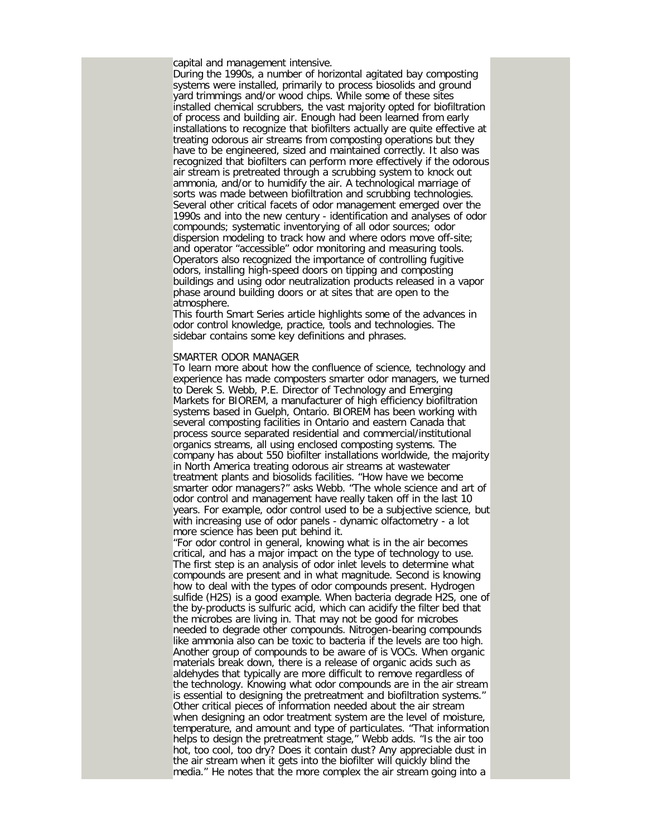capital and management intensive.

During the 1990s, a number of horizontal agitated bay composting systems were installed, primarily to process biosolids and ground yard trimmings and/or wood chips. While some of these sites installed chemical scrubbers, the vast majority opted for biofiltration of process and building air. Enough had been learned from early installations to recognize that biofilters actually are quite effective at treating odorous air streams from composting operations but they have to be engineered, sized and maintained correctly. It also was recognized that biofilters can perform more effectively if the odorous air stream is pretreated through a scrubbing system to knock out ammonia, and/or to humidify the air. A technological marriage of sorts was made between biofiltration and scrubbing technologies. Several other critical facets of odor management emerged over the 1990s and into the new century - identification and analyses of odor compounds; systematic inventorying of all odor sources; odor dispersion modeling to track how and where odors move off-site; and operator "accessible" odor monitoring and measuring tools. Operators also recognized the importance of controlling fugitive odors, installing high-speed doors on tipping and composting buildings and using odor neutralization products released in a vapor phase around building doors or at sites that are open to the atmosphere.

This fourth Smart Series article highlights some of the advances in odor control knowledge, practice, tools and technologies. The sidebar contains some key definitions and phrases.

## SMARTER ODOR MANAGER

To learn more about how the confluence of science, technology and experience has made composters smarter odor managers, we turned to Derek S. Webb, P.E. Director of Technology and Emerging Markets for BIOREM, a manufacturer of high efficiency biofiltration systems based in Guelph, Ontario. BIOREM has been working with several composting facilities in Ontario and eastern Canada that process source separated residential and commercial/institutional organics streams, all using enclosed composting systems. The company has about 550 biofilter installations worldwide, the majority in North America treating odorous air streams at wastewater treatment plants and biosolids facilities. "How have we become smarter odor managers?" asks Webb. "The whole science and art of odor control and management have really taken off in the last 10 years. For example, odor control used to be a subjective science, but with increasing use of odor panels - dynamic olfactometry - a lot more science has been put behind it.

"For odor control in general, knowing what is in the air becomes critical, and has a major impact on the type of technology to use. The first step is an analysis of odor inlet levels to determine what compounds are present and in what magnitude. Second is knowing how to deal with the types of odor compounds present. Hydrogen sulfide (H2S) is a good example. When bacteria degrade H2S, one of the by-products is sulfuric acid, which can acidify the filter bed that the microbes are living in. That may not be good for microbes needed to degrade other compounds. Nitrogen-bearing compounds like ammonia also can be toxic to bacteria if the levels are too high. Another group of compounds to be aware of is VOCs. When organic materials break down, there is a release of organic acids such as aldehydes that typically are more difficult to remove regardless of the technology. Knowing what odor compounds are in the air stream is essential to designing the pretreatment and biofiltration systems." Other critical pieces of information needed about the air stream when designing an odor treatment system are the level of moisture, temperature, and amount and type of particulates. "That information helps to design the pretreatment stage," Webb adds. "Is the air too hot, too cool, too dry? Does it contain dust? Any appreciable dust in the air stream when it gets into the biofilter will quickly blind the media." He notes that the more complex the air stream going into a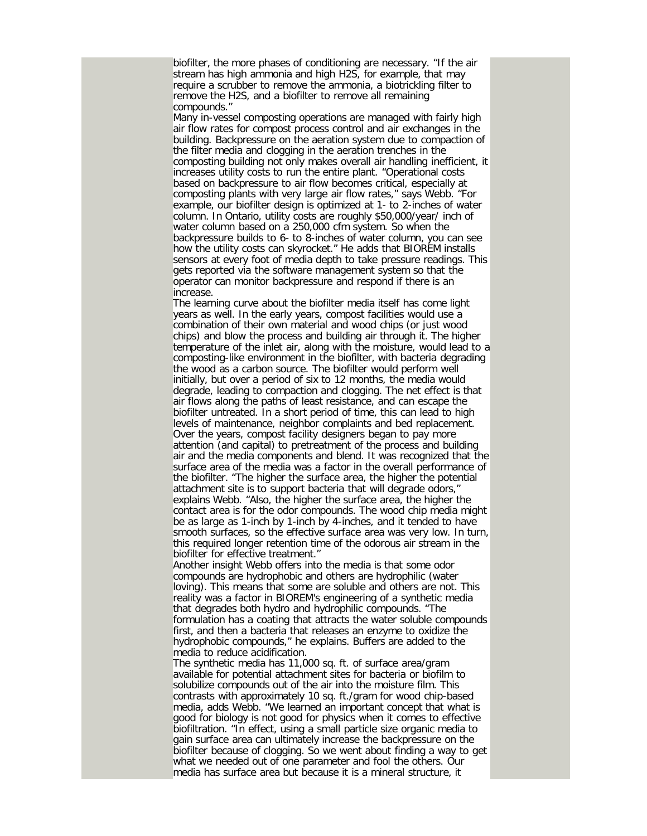biofilter, the more phases of conditioning are necessary. "If the air stream has high ammonia and high H2S, for example, that may require a scrubber to remove the ammonia, a biotrickling filter to remove the H2S, and a biofilter to remove all remaining compounds."

Many in-vessel composting operations are managed with fairly high air flow rates for compost process control and air exchanges in the building. Backpressure on the aeration system due to compaction of the filter media and clogging in the aeration trenches in the composting building not only makes overall air handling inefficient, it increases utility costs to run the entire plant. "Operational costs based on backpressure to air flow becomes critical, especially at composting plants with very large air flow rates," says Webb. "For example, our biofilter design is optimized at 1- to 2-inches of water column. In Ontario, utility costs are roughly \$50,000/year/ inch of water column based on a 250,000 cfm system. So when the backpressure builds to 6- to 8-inches of water column, you can see how the utility costs can skyrocket." He adds that BIOREM installs sensors at every foot of media depth to take pressure readings. This gets reported via the software management system so that the operator can monitor backpressure and respond if there is an increase.

The learning curve about the biofilter media itself has come light years as well. In the early years, compost facilities would use a combination of their own material and wood chips (or just wood chips) and blow the process and building air through it. The higher temperature of the inlet air, along with the moisture, would lead to a composting-like environment in the biofilter, with bacteria degrading the wood as a carbon source. The biofilter would perform well initially, but over a period of six to 12 months, the media would degrade, leading to compaction and clogging. The net effect is that air flows along the paths of least resistance, and can escape the biofilter untreated. In a short period of time, this can lead to high levels of maintenance, neighbor complaints and bed replacement. Over the years, compost facility designers began to pay more attention (and capital) to pretreatment of the process and building air and the media components and blend. It was recognized that the surface area of the media was a factor in the overall performance of the biofilter. "The higher the surface area, the higher the potential attachment site is to support bacteria that will degrade odors," explains Webb. "Also, the higher the surface area, the higher the contact area is for the odor compounds. The wood chip media might be as large as 1-inch by 1-inch by 4-inches, and it tended to have smooth surfaces, so the effective surface area was very low. In turn, this required longer retention time of the odorous air stream in the biofilter for effective treatment."

Another insight Webb offers into the media is that some odor compounds are hydrophobic and others are hydrophilic (water loving). This means that some are soluble and others are not. This reality was a factor in BIOREM's engineering of a synthetic media that degrades both hydro and hydrophilic compounds. "The formulation has a coating that attracts the water soluble compounds first, and then a bacteria that releases an enzyme to oxidize the hydrophobic compounds," he explains. Buffers are added to the media to reduce acidification.

The synthetic media has 11,000 sq. ft. of surface area/gram available for potential attachment sites for bacteria or biofilm to solubilize compounds out of the air into the moisture film. This contrasts with approximately 10 sq. ft./gram for wood chip-based media, adds Webb. "We learned an important concept that what is good for biology is not good for physics when it comes to effective biofiltration. "In effect, using a small particle size organic media to gain surface area can ultimately increase the backpressure on the biofilter because of clogging. So we went about finding a way to get what we needed out of one parameter and fool the others. Our media has surface area but because it is a mineral structure, it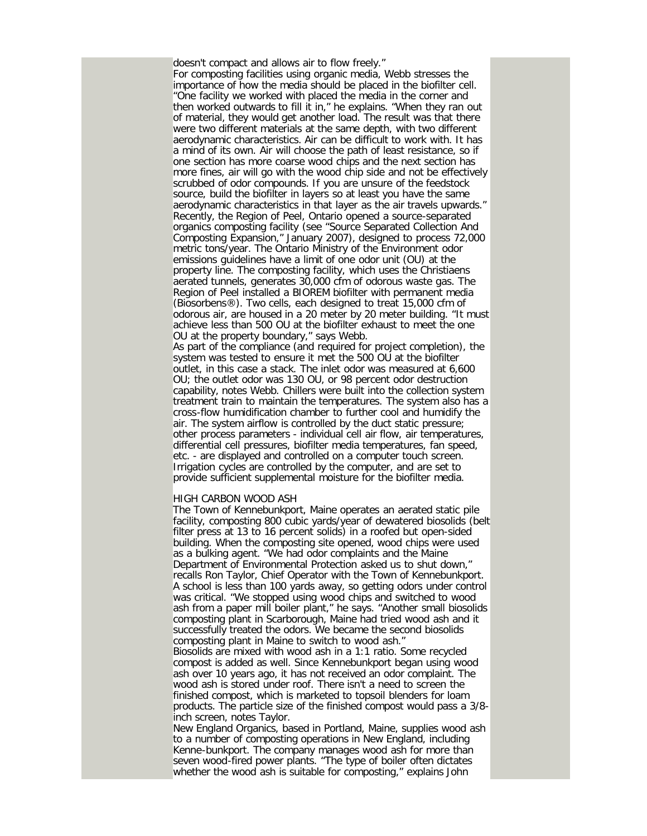doesn't compact and allows air to flow freely." For composting facilities using organic media, Webb stresses the importance of how the media should be placed in the biofilter cell. "One facility we worked with placed the media in the corner and then worked outwards to fill it in," he explains. "When they ran out of material, they would get another load. The result was that there were two different materials at the same depth, with two different aerodynamic characteristics. Air can be difficult to work with. It has a mind of its own. Air will choose the path of least resistance, so if one section has more coarse wood chips and the next section has more fines, air will go with the wood chip side and not be effectively scrubbed of odor compounds. If you are unsure of the feedstock source, build the biofilter in layers so at least you have the same aerodynamic characteristics in that layer as the air travels upwards." Recently, the Region of Peel, Ontario opened a source-separated organics composting facility (see "Source Separated Collection And Composting Expansion," January 2007), designed to process 72,000 metric tons/year. The Ontario Ministry of the Environment odor emissions guidelines have a limit of one odor unit (OU) at the property line. The composting facility, which uses the Christiaens aerated tunnels, generates 30,000 cfm of odorous waste gas. The Region of Peel installed a BIOREM biofilter with permanent media (Biosorbens®). Two cells, each designed to treat 15,000 cfm of odorous air, are housed in a 20 meter by 20 meter building. "It must achieve less than 500 OU at the biofilter exhaust to meet the one OU at the property boundary," says Webb.

As part of the compliance (and required for project completion), the system was tested to ensure it met the 500 OU at the biofilter outlet, in this case a stack. The inlet odor was measured at 6,600 OU; the outlet odor was 130 OU, or 98 percent odor destruction capability, notes Webb. Chillers were built into the collection system treatment train to maintain the temperatures. The system also has a cross-flow humidification chamber to further cool and humidify the air. The system airflow is controlled by the duct static pressure; other process parameters - individual cell air flow, air temperatures, differential cell pressures, biofilter media temperatures, fan speed, etc. - are displayed and controlled on a computer touch screen. Irrigation cycles are controlled by the computer, and are set to provide sufficient supplemental moisture for the biofilter media.

## HIGH CARBON WOOD ASH

The Town of Kennebunkport, Maine operates an aerated static pile facility, composting 800 cubic yards/year of dewatered biosolids (belt filter press at 13 to 16 percent solids) in a roofed but open-sided building. When the composting site opened, wood chips were used as a bulking agent. "We had odor complaints and the Maine Department of Environmental Protection asked us to shut down," recalls Ron Taylor, Chief Operator with the Town of Kennebunkport. A school is less than 100 yards away, so getting odors under control was critical. "We stopped using wood chips and switched to wood ash from a paper mill boiler plant," he says. "Another small biosolids composting plant in Scarborough, Maine had tried wood ash and it successfully treated the odors. We became the second biosolids composting plant in Maine to switch to wood ash." Biosolids are mixed with wood ash in a 1:1 ratio. Some recycled compost is added as well. Since Kennebunkport began using wood ash over 10 years ago, it has not received an odor complaint. The wood ash is stored under roof. There isn't a need to screen the finished compost, which is marketed to topsoil blenders for loam products. The particle size of the finished compost would pass a 3/8 inch screen, notes Taylor.

New England Organics, based in Portland, Maine, supplies wood ash to a number of composting operations in New England, including Kenne-bunkport. The company manages wood ash for more than seven wood-fired power plants. "The type of boiler often dictates whether the wood ash is suitable for composting," explains John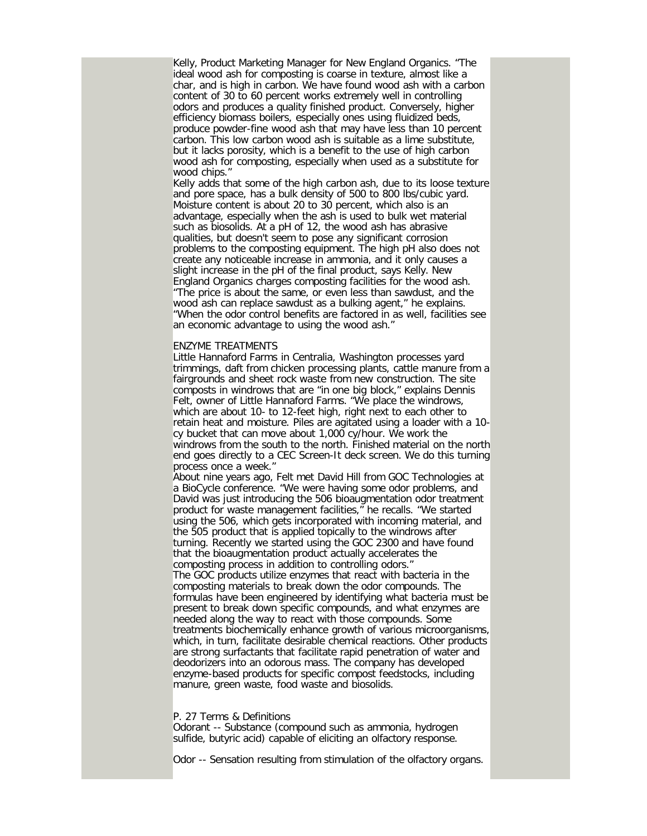Kelly, Product Marketing Manager for New England Organics. "The ideal wood ash for composting is coarse in texture, almost like a char, and is high in carbon. We have found wood ash with a carbon content of 30 to 60 percent works extremely well in controlling odors and produces a quality finished product. Conversely, higher efficiency biomass boilers, especially ones using fluidized beds, produce powder-fine wood ash that may have less than 10 percent carbon. This low carbon wood ash is suitable as a lime substitute, but it lacks porosity, which is a benefit to the use of high carbon wood ash for composting, especially when used as a substitute for wood chips.'

Kelly adds that some of the high carbon ash, due to its loose texture and pore space, has a bulk density of 500 to 800 lbs/cubic yard. Moisture content is about 20 to 30 percent, which also is an advantage, especially when the ash is used to bulk wet material such as biosolids. At a pH of 12, the wood ash has abrasive qualities, but doesn't seem to pose any significant corrosion problems to the composting equipment. The high pH also does not create any noticeable increase in ammonia, and it only causes a slight increase in the pH of the final product, says Kelly. New England Organics charges composting facilities for the wood ash. "The price is about the same, or even less than sawdust, and the wood ash can replace sawdust as a bulking agent," he explains. "When the odor control benefits are factored in as well, facilities see an economic advantage to using the wood ash."

## ENZYME TREATMENTS

Little Hannaford Farms in Centralia, Washington processes yard trimmings, daft from chicken processing plants, cattle manure from a fairgrounds and sheet rock waste from new construction. The site composts in windrows that are "in one big block," explains Dennis Felt, owner of Little Hannaford Farms. "We place the windrows, which are about 10- to 12-feet high, right next to each other to retain heat and moisture. Piles are agitated using a loader with a 10 cy bucket that can move about 1,000 cy/hour. We work the windrows from the south to the north. Finished material on the north end goes directly to a CEC Screen-It deck screen. We do this turning process once a week."

About nine years ago, Felt met David Hill from GOC Technologies at a BioCycle conference. "We were having some odor problems, and David was just introducing the 506 bioaugmentation odor treatment product for waste management facilities," he recalls. "We started using the 506, which gets incorporated with incoming material, and the 505 product that is applied topically to the windrows after turning. Recently we started using the GOC 2300 and have found that the bioaugmentation product actually accelerates the composting process in addition to controlling odors." The GOC products utilize enzymes that react with bacteria in the composting materials to break down the odor compounds. The formulas have been engineered by identifying what bacteria must be present to break down specific compounds, and what enzymes are needed along the way to react with those compounds. Some treatments biochemically enhance growth of various microorganisms, which, in turn, facilitate desirable chemical reactions. Other products are strong surfactants that facilitate rapid penetration of water and deodorizers into an odorous mass. The company has developed enzyme-based products for specific compost feedstocks, including manure, green waste, food waste and biosolids.

P. 27 Terms & Definitions

Odorant -- Substance (compound such as ammonia, hydrogen sulfide, butyric acid) capable of eliciting an olfactory response.

Odor -- Sensation resulting from stimulation of the olfactory organs.